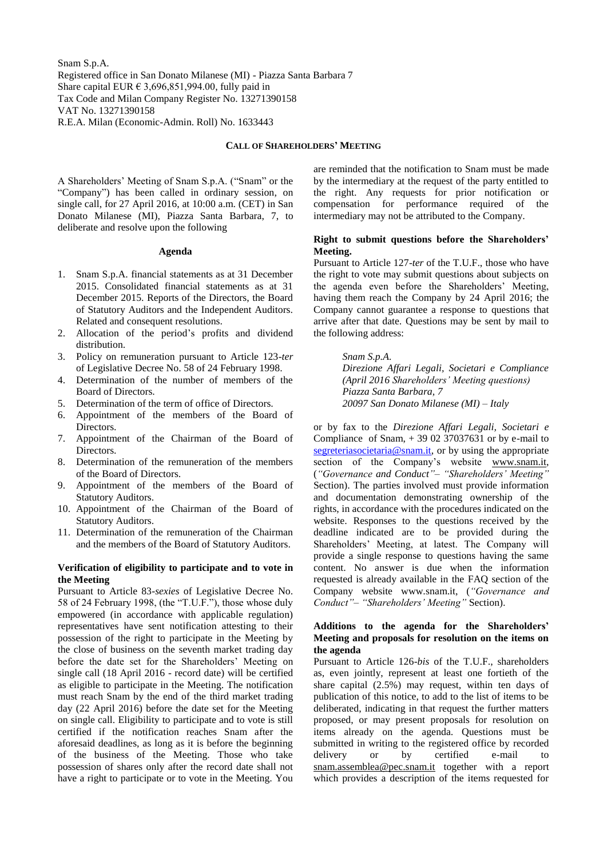Snam S.p.A. Registered office in San Donato Milanese (MI) - Piazza Santa Barbara 7 Share capital EUR  $\epsilon$  3,696,851,994.00, fully paid in Tax Code and Milan Company Register No. 13271390158 VAT No. 13271390158 R.E.A. Milan (Economic-Admin. Roll) No. 1633443

#### **CALL OF SHAREHOLDERS' MEETING**

A Shareholders' Meeting of Snam S.p.A. ("Snam" or the "Company") has been called in ordinary session, on single call, for 27 April 2016, at 10:00 a.m. (CET) in San Donato Milanese (MI), Piazza Santa Barbara, 7, to deliberate and resolve upon the following

#### **Agenda**

- 1. Snam S.p.A. financial statements as at 31 December 2015. Consolidated financial statements as at 31 December 2015. Reports of the Directors, the Board of Statutory Auditors and the Independent Auditors. Related and consequent resolutions.
- 2. Allocation of the period's profits and dividend distribution.
- 3. Policy on remuneration pursuant to Article 123-*ter* of Legislative Decree No. 58 of 24 February 1998.
- 4. Determination of the number of members of the Board of Directors.
- 5. Determination of the term of office of Directors.
- 6. Appointment of the members of the Board of Directors.
- 7. Appointment of the Chairman of the Board of Directors.
- 8. Determination of the remuneration of the members of the Board of Directors.
- 9. Appointment of the members of the Board of Statutory Auditors.
- 10. Appointment of the Chairman of the Board of Statutory Auditors.
- 11. Determination of the remuneration of the Chairman and the members of the Board of Statutory Auditors.

#### **Verification of eligibility to participate and to vote in the Meeting**

Pursuant to Article 83-*sexies* of Legislative Decree No. 58 of 24 February 1998, (the "T.U.F."), those whose duly empowered (in accordance with applicable regulation) representatives have sent notification attesting to their possession of the right to participate in the Meeting by the close of business on the seventh market trading day before the date set for the Shareholders' Meeting on single call (18 April 2016 - record date) will be certified as eligible to participate in the Meeting. The notification must reach Snam by the end of the third market trading day (22 April 2016) before the date set for the Meeting on single call. Eligibility to participate and to vote is still certified if the notification reaches Snam after the aforesaid deadlines, as long as it is before the beginning of the business of the Meeting. Those who take possession of shares only after the record date shall not have a right to participate or to vote in the Meeting. You

are reminded that the notification to Snam must be made by the intermediary at the request of the party entitled to the right. Any requests for prior notification or compensation for performance required of the intermediary may not be attributed to the Company.

## **Right to submit questions before the Shareholders' Meeting.**

Pursuant to Article 127-*ter* of the T.U.F., those who have the right to vote may submit questions about subjects on the agenda even before the Shareholders' Meeting, having them reach the Company by 24 April 2016; the Company cannot guarantee a response to questions that arrive after that date. Questions may be sent by mail to the following address:

> *Snam S.p.A. Direzione Affari Legali, Societari e Compliance (April 2016 Shareholders' Meeting questions) Piazza Santa Barbara, 7 20097 San Donato Milanese (MI) – Italy*

or by fax to the *Direzione Affari Legali, Societari e* Compliance of Snam, + 39 02 37037631 or by e-mail to [segreteriasocietaria@snam.it,](mailto:segreteriasocietaria@snam.it) or by using the appropriate section of the Company's website [www.snam.it,](http://www.snam.it/) (*"Governance and Conduct"– "Shareholders' Meeting"* Section). The parties involved must provide information and documentation demonstrating ownership of the rights, in accordance with the procedures indicated on the website. Responses to the questions received by the deadline indicated are to be provided during the Shareholders' Meeting, at latest. The Company will provide a single response to questions having the same content. No answer is due when the information requested is already available in the FAQ section of the Company website [www.snam.it,](http://www.snam.it/) (*"Governance and Conduct"– "Shareholders' Meeting"* Section).

# **Additions to the agenda for the Shareholders' Meeting and proposals for resolution on the items on the agenda**

Pursuant to Article 126-*bis* of the T.U.F., shareholders as, even jointly, represent at least one fortieth of the share capital (2.5%) may request, within ten days of publication of this notice, to add to the list of items to be deliberated, indicating in that request the further matters proposed, or may present proposals for resolution on items already on the agenda. Questions must be submitted in writing to the registered office by recorded delivery or by certified e-mail to [snam.assemblea@pec.snam.it](mailto:snam.assemblea@pec.snam.it) together with a report which provides a description of the items requested for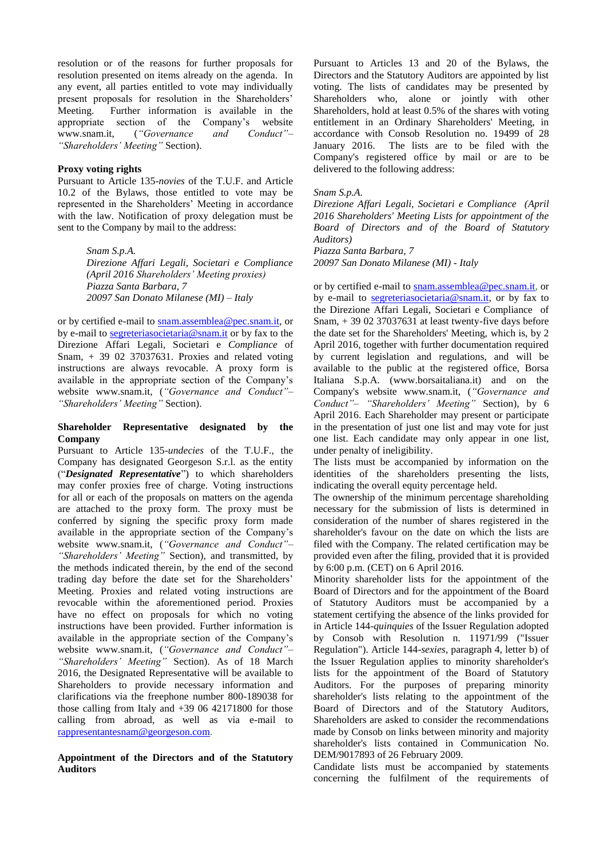resolution or of the reasons for further proposals for resolution presented on items already on the agenda. In any event, all parties entitled to vote may individually present proposals for resolution in the Shareholders' Meeting. Further information is available in the appropriate section of the Company's website www.snam.it, (*"Governance and Conduct"– "Shareholders' Meeting"* Section).

# **Proxy voting rights**

Pursuant to Article 135-*novies* of the T.U.F. and Article 10.2 of the Bylaws, those entitled to vote may be represented in the Shareholders' Meeting in accordance with the law. Notification of proxy delegation must be sent to the Company by mail to the address:

> *Snam S.p.A. Direzione Affari Legali, Societari e Compliance (April 2016 Shareholders' Meeting proxies) Piazza Santa Barbara, 7 20097 San Donato Milanese (MI) – Italy*

or by certified e-mail to [snam.assemblea@pec.snam.it,](mailto:snam.assemblea@pec.snam.it) or by e-mail to [segreteriasocietaria@snam.it](mailto:segreteriasocietaria@snam.it) or by fax to the Direzione Affari Legali, Societari e *Compliance* of Snam, + 39 02 37037631. Proxies and related voting instructions are always revocable. A proxy form is available in the appropriate section of the Company's website [www.snam.it,](http://www.snam.it/) (*"Governance and Conduct"– "Shareholders' Meeting"* Section).

# **Shareholder Representative designated by the Company**

Pursuant to Article 135-*undecies* of the T.U.F., the Company has designated Georgeson S.r.l. as the entity ("*Designated Representative*") to which shareholders may confer proxies free of charge. Voting instructions for all or each of the proposals on matters on the agenda are attached to the proxy form. The proxy must be conferred by signing the specific proxy form made available in the appropriate section of the Company's website [www.snam.it,](http://www.snam.it/) (*"Governance and Conduct"– "Shareholders' Meeting"* Section), and transmitted, by the methods indicated therein, by the end of the second trading day before the date set for the Shareholders' Meeting. Proxies and related voting instructions are revocable within the aforementioned period. Proxies have no effect on proposals for which no voting instructions have been provided. Further information is available in the appropriate section of the Company's website [www.snam.it,](http://www.snam.it/) (*"Governance and Conduct"– "Shareholders' Meeting"* Section). As of 18 March 2016, the Designated Representative will be available to Shareholders to provide necessary information and clarifications via the freephone number 800-189038 for those calling from Italy and +39 06 42171800 for those calling from abroad, as well as via e-mail to [rappresentantesnam@georgeson.com.](mailto:rappresentantesnam@georgeson.com)

**Appointment of the Directors and of the Statutory Auditors**

Pursuant to Articles 13 and 20 of the Bylaws, the Directors and the Statutory Auditors are appointed by list voting. The lists of candidates may be presented by Shareholders who, alone or jointly with other Shareholders, hold at least 0.5% of the shares with voting entitlement in an Ordinary Shareholders' Meeting, in accordance with Consob Resolution no. 19499 of 28 January 2016. The lists are to be filed with the Company's registered office by mail or are to be delivered to the following address:

### *Snam S.p.A.*

*Direzione Affari Legali, Societari e Compliance (April 2016 Shareholders' Meeting Lists for appointment of the Board of Directors and of the Board of Statutory Auditors)*

*Piazza Santa Barbara, 7 20097 San Donato Milanese (MI) - Italy*

or by certified e-mail to [snam.assemblea@pec.snam.it,](mailto:snam.assemblea@pec.snam.it) or by e-mail to [segreteriasocietaria@snam.it,](mailto:segreteriasocietaria@snam.it) or by fax to the Direzione Affari Legali, Societari e Compliance of Snam, + 39 02 37037631 at least twenty-five days before the date set for the Shareholders' Meeting, which is, by 2 April 2016, together with further documentation required by current legislation and regulations, and will be available to the public at the registered office, Borsa Italiana S.p.A. (www.borsaitaliana.it) and on the Company's website www.snam.it, (*"Governance and Conduct"– "Shareholders' Meeting"* Section), by 6 April 2016. Each Shareholder may present or participate in the presentation of just one list and may vote for just one list. Each candidate may only appear in one list, under penalty of ineligibility.

The lists must be accompanied by information on the identities of the shareholders presenting the lists, indicating the overall equity percentage held.

The ownership of the minimum percentage shareholding necessary for the submission of lists is determined in consideration of the number of shares registered in the shareholder's favour on the date on which the lists are filed with the Company. The related certification may be provided even after the filing, provided that it is provided by 6:00 p.m. (CET) on 6 April 2016.

Minority shareholder lists for the appointment of the Board of Directors and for the appointment of the Board of Statutory Auditors must be accompanied by a statement certifying the absence of the links provided for in Article 144-*quinquies* of the Issuer Regulation adopted by Consob with Resolution n. 11971/99 ("Issuer Regulation"). Article 144-*sexies*, paragraph 4, letter b) of the Issuer Regulation applies to minority shareholder's lists for the appointment of the Board of Statutory Auditors. For the purposes of preparing minority shareholder's lists relating to the appointment of the Board of Directors and of the Statutory Auditors, Shareholders are asked to consider the recommendations made by Consob on links between minority and majority shareholder's lists contained in Communication No. DEM/9017893 of 26 February 2009.

Candidate lists must be accompanied by statements concerning the fulfilment of the requirements of